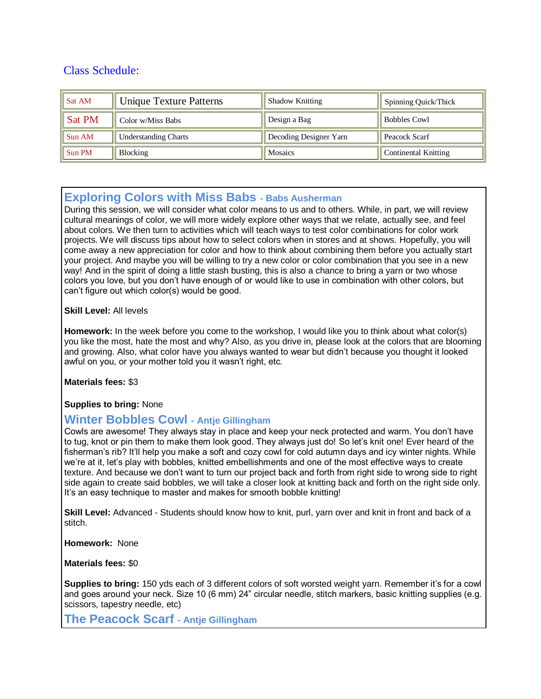# Class Schedule:

| Sat AM             | <b>Unique Texture Patterns</b> | <b>Shadow Knitting</b> | Spinning Quick/Thick        |
|--------------------|--------------------------------|------------------------|-----------------------------|
| $\parallel$ Sat PM | Color w/Miss Babs              | Design a Bag           | <b>Bobbles Cowl</b>         |
| Sun AM             | <b>Understanding Charts</b>    | Decoding Designer Yarn | Peacock Scarf               |
| Sun PM             | <b>Blocking</b>                | <b>Mosaics</b>         | <b>Continental Knitting</b> |

# **Exploring Colors with Miss Babs - Babs Ausherman**

During this session, we will consider what color means to us and to others. While, in part, we will review cultural meanings of color, we will more widely explore other ways that we relate, actually see, and feel about colors. We then turn to activities which will teach ways to test color combinations for color work projects. We will discuss tips about how to select colors when in stores and at shows. Hopefully, you will come away a new appreciation for color and how to think about combining them before you actually start your project. And maybe you will be willing to try a new color or color combination that you see in a new way! And in the spirit of doing a little stash busting, this is also a chance to bring a yarn or two whose colors you love, but you don't have enough of or would like to use in combination with other colors, but can't figure out which color(s) would be good.

#### **Skill Level:** All levels

**Homework:** In the week before you come to the workshop, I would like you to think about what color(s) you like the most, hate the most and why? Also, as you drive in, please look at the colors that are blooming and growing. Also, what color have you always wanted to wear but didn't because you thought it looked awful on you, or your mother told you it wasn't right, etc.

**Materials fees:** \$3

### **Supplies to bring:** None

### **Winter Bobbles Cowl - Antje Gillingham**

Cowls are awesome! They always stay in place and keep your neck protected and warm. You don't have to tug, knot or pin them to make them look good. They always just do! So let's knit one! Ever heard of the fisherman's rib? It'll help you make a soft and cozy cowl for cold autumn days and icy winter nights. While we're at it, let's play with bobbles, knitted embellishments and one of the most effective ways to create texture. And because we don't want to turn our project back and forth from right side to wrong side to right side again to create said bobbles, we will take a closer look at knitting back and forth on the right side only. It's an easy technique to master and makes for smooth bobble knitting!

**Skill Level:** Advanced - Students should know how to knit, purl, yarn over and knit in front and back of a stitch.

**Homework:** None

**Materials fees:** \$0

**Supplies to bring:** 150 yds each of 3 different colors of soft worsted weight yarn. Remember it's for a cowl and goes around your neck. Size 10 (6 mm) 24" circular needle, stitch markers, basic knitting supplies (e.g. scissors, tapestry needle, etc)

**The Peacock Scarf - Antje Gillingham**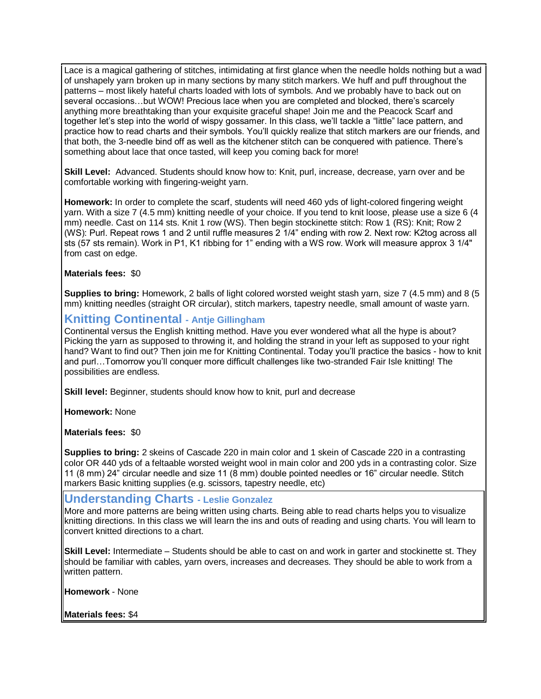Lace is a magical gathering of stitches, intimidating at first glance when the needle holds nothing but a wad of unshapely yarn broken up in many sections by many stitch markers. We huff and puff throughout the patterns – most likely hateful charts loaded with lots of symbols. And we probably have to back out on several occasions…but WOW! Precious lace when you are completed and blocked, there's scarcely anything more breathtaking than your exquisite graceful shape! Join me and the Peacock Scarf and together let's step into the world of wispy gossamer. In this class, we'll tackle a "little" lace pattern, and practice how to read charts and their symbols. You'll quickly realize that stitch markers are our friends, and that both, the 3-needle bind off as well as the kitchener stitch can be conquered with patience. There's something about lace that once tasted, will keep you coming back for more!

**Skill Level:** Advanced. Students should know how to: Knit, purl, increase, decrease, yarn over and be comfortable working with fingering-weight yarn.

**Homework:** In order to complete the scarf, students will need 460 yds of light-colored fingering weight yarn. With a size 7 (4.5 mm) knitting needle of your choice. If you tend to knit loose, please use a size 6 (4 mm) needle. Cast on 114 sts. Knit 1 row (WS). Then begin stockinette stitch: Row 1 (RS): Knit; Row 2 (WS): Purl. Repeat rows 1 and 2 until ruffle measures 2 1/4" ending with row 2. Next row: K2tog across all sts (57 sts remain). Work in P1, K1 ribbing for 1" ending with a WS row. Work will measure approx 3 1/4" from cast on edge.

#### **Materials fees:** \$0

**Supplies to bring:** Homework, 2 balls of light colored worsted weight stash yarn, size 7 (4.5 mm) and 8 (5 mm) knitting needles (straight OR circular), stitch markers, tapestry needle, small amount of waste yarn.

# **Knitting Continental - Antje Gillingham**

Continental versus the English knitting method. Have you ever wondered what all the hype is about? Picking the yarn as supposed to throwing it, and holding the strand in your left as supposed to your right hand? Want to find out? Then join me for Knitting Continental. Today you'll practice the basics - how to knit and purl…Tomorrow you'll conquer more difficult challenges like two-stranded Fair Isle knitting! The possibilities are endless.

**Skill level:** Beginner, students should know how to knit, purl and decrease

**Homework:** None

**Materials fees:** \$0

**Supplies to bring:** 2 skeins of Cascade 220 in main color and 1 skein of Cascade 220 in a contrasting color OR 440 yds of a feltaable worsted weight wool in main color and 200 yds in a contrasting color. Size 11 (8 mm) 24" circular needle and size 11 (8 mm) double pointed needles or 16" circular needle. Stitch markers Basic knitting supplies (e.g. scissors, tapestry needle, etc)

#### **Understanding Charts - Leslie Gonzalez**

More and more patterns are being written using charts. Being able to read charts helps you to visualize knitting directions. In this class we will learn the ins and outs of reading and using charts. You will learn to convert knitted directions to a chart.

**Skill Level:** Intermediate – Students should be able to cast on and work in garter and stockinette st. They should be familiar with cables, yarn overs, increases and decreases. They should be able to work from a written pattern.

**Homework** - None

**Materials fees:** \$4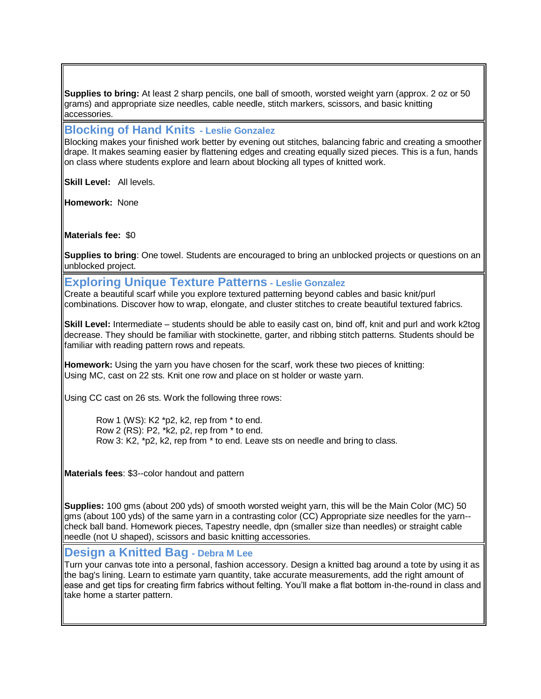**Supplies to bring:** At least 2 sharp pencils, one ball of smooth, worsted weight yarn (approx. 2 oz or 50 grams) and appropriate size needles, cable needle, stitch markers, scissors, and basic knitting accessories.

### **Blocking of Hand Knits - Leslie Gonzalez**

Blocking makes your finished work better by evening out stitches, balancing fabric and creating a smoother drape. It makes seaming easier by flattening edges and creating equally sized pieces. This is a fun, hands on class where students explore and learn about blocking all types of knitted work.

**Skill Level:** All levels.

**Homework:** None

**Materials fee:** \$0

**Supplies to bring**: One towel. Students are encouraged to bring an unblocked projects or questions on an unblocked project.

### **Exploring Unique Texture Patterns - Leslie Gonzalez**

Create a beautiful scarf while you explore textured patterning beyond cables and basic knit/purl combinations. Discover how to wrap, elongate, and cluster stitches to create beautiful textured fabrics.

**Skill Level:** Intermediate – students should be able to easily cast on, bind off, knit and purl and work k2tog decrease. They should be familiar with stockinette, garter, and ribbing stitch patterns. Students should be familiar with reading pattern rows and repeats.

**Homework:** Using the yarn you have chosen for the scarf, work these two pieces of knitting: Using MC, cast on 22 sts. Knit one row and place on st holder or waste yarn.

Using CC cast on 26 sts. Work the following three rows:

Row 1 (WS): K2 \*p2, k2, rep from \* to end. Row 2 (RS): P2, \*k2, p2, rep from \* to end. Row 3: K2, \*p2, k2, rep from \* to end. Leave sts on needle and bring to class.

**Materials fees**: \$3--color handout and pattern

**Supplies:** 100 gms (about 200 yds) of smooth worsted weight yarn, this will be the Main Color (MC) 50 gms (about 100 yds) of the same yarn in a contrasting color (CC) Appropriate size needles for the yarn- check ball band. Homework pieces, Tapestry needle, dpn (smaller size than needles) or straight cable needle (not U shaped), scissors and basic knitting accessories.

### **Design a Knitted Bag - Debra M Lee**

Turn your canvas tote into a personal, fashion accessory. Design a knitted bag around a tote by using it as the bag's lining. Learn to estimate yarn quantity, take accurate measurements, add the right amount of ease and get tips for creating firm fabrics without felting. You'll make a flat bottom in-the-round in class and take home a starter pattern.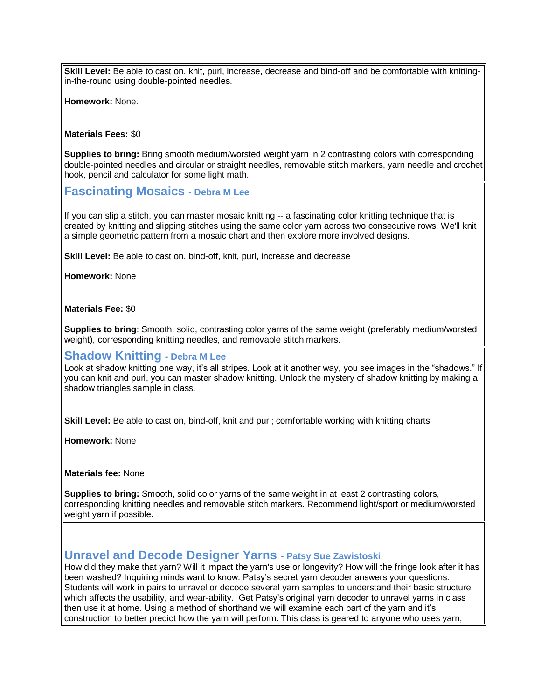**Skill Level:** Be able to cast on, knit, purl, increase, decrease and bind-off and be comfortable with knittingin-the-round using double-pointed needles.

**Homework:** None.

#### **Materials Fees:** \$0

**Supplies to bring:** Bring smooth medium/worsted weight yarn in 2 contrasting colors with corresponding double-pointed needles and circular or straight needles, removable stitch markers, yarn needle and crochet hook, pencil and calculator for some light math.

**Fascinating Mosaics - Debra M Lee**

If you can slip a stitch, you can master mosaic knitting -- a fascinating color knitting technique that is created by knitting and slipping stitches using the same color yarn across two consecutive rows. We'll knit a simple geometric pattern from a mosaic chart and then explore more involved designs.

**Skill Level:** Be able to cast on, bind-off, knit, purl, increase and decrease

**Homework:** None

**Materials Fee:** \$0

**Supplies to bring**: Smooth, solid, contrasting color yarns of the same weight (preferably medium/worsted weight), corresponding knitting needles, and removable stitch markers.

#### **Shadow Knitting - Debra M Lee**

Look at shadow knitting one way, it's all stripes. Look at it another way, you see images in the "shadows." If you can knit and purl, you can master shadow knitting. Unlock the mystery of shadow knitting by making a shadow triangles sample in class.

**Skill Level:** Be able to cast on, bind-off, knit and purl; comfortable working with knitting charts

**Homework:** None

**Materials fee:** None

**Supplies to bring:** Smooth, solid color yarns of the same weight in at least 2 contrasting colors, corresponding knitting needles and removable stitch markers. Recommend light/sport or medium/worsted weight yarn if possible.

### **Unravel and Decode Designer Yarns - Patsy Sue Zawistoski**

How did they make that yarn? Will it impact the yarn's use or longevity? How will the fringe look after it has been washed? Inquiring minds want to know. Patsy's secret yarn decoder answers your questions. Students will work in pairs to unravel or decode several yarn samples to understand their basic structure, which affects the usability, and wear-ability. Get Patsy's original yarn decoder to unravel yarns in class then use it at home. Using a method of shorthand we will examine each part of the yarn and it's  $\parallel$ construction to better predict how the yarn will perform. This class is geared to anyone who uses yarn;